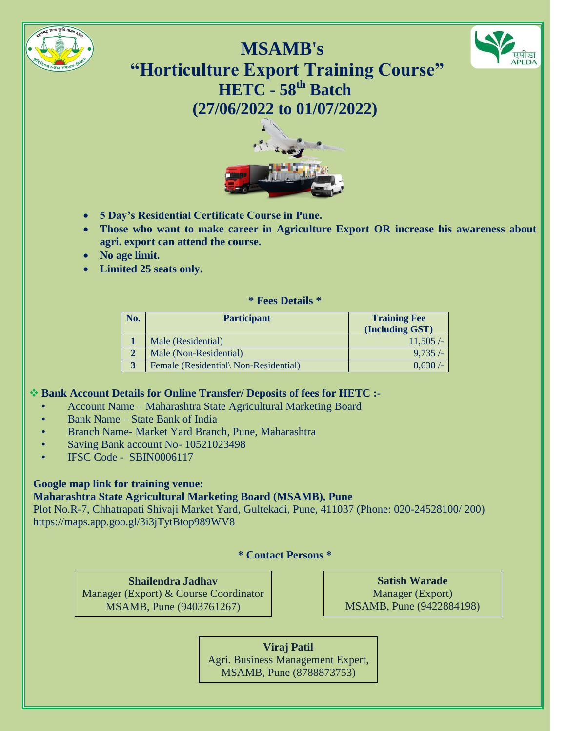



**MSAMB's "Horticulture Export Training Course" HETC - 58th Batch (27/06/2022 to 01/07/2022)**



- **5 Day's Residential Certificate Course in Pune.**
- **Those who want to make career in Agriculture Export OR increase his awareness about agri. export can attend the course.**
- **No age limit.**
- **Limited 25 seats only.**

#### **\* Fees Details \***

| No.          | <b>Participant</b>                    | <b>Training Fee</b><br>(Including GST) |
|--------------|---------------------------------------|----------------------------------------|
|              | Male (Residential)                    | 11,505/                                |
|              | Male (Non-Residential)                | $9.735/-$                              |
| $\mathbf{a}$ | Female (Residential) Non-Residential) | 8.638/                                 |

## **Bank Account Details for Online Transfer/ Deposits of fees for HETC :-**

- Account Name Maharashtra State Agricultural Marketing Board
- Bank Name State Bank of India
- Branch Name- Market Yard Branch, Pune, Maharashtra
- Saving Bank account No- 10521023498
- IFSC Code SBIN0006117

# **Google map link for training venue:**

## **Maharashtra State Agricultural Marketing Board (MSAMB), Pune**

Plot No.R-7, Chhatrapati Shivaji Market Yard, Gultekadi, Pune, 411037 (Phone: [020-24528100/](callto:020-24528100) 200) <https://maps.app.goo.gl/3i3jTytBtop989WV8>

**\* Contact Persons \***

**Shailendra Jadhav** Manager (Export) & Course Coordinator MSAMB, Pune (9403761267)

**Satish Warade** Manager (Export) MSAMB, Pune (9422884198)

**Viraj Patil** Agri. Business Management Expert, MSAMB, Pune (8788873753)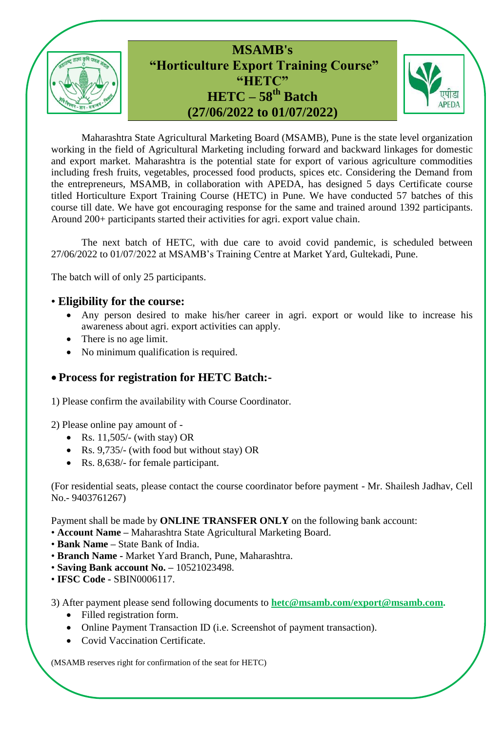

Maharashtra State Agricultural Marketing Board (MSAMB), Pune is the state level organization working in the field of Agricultural Marketing including forward and backward linkages for domestic and export market. Maharashtra is the potential state for export of various agriculture commodities including fresh fruits, vegetables, processed food products, spices etc. Considering the Demand from the entrepreneurs, MSAMB, in collaboration with APEDA, has designed 5 days Certificate course titled Horticulture Export Training Course (HETC) in Pune. We have conducted 57 batches of this course till date. We have got encouraging response for the same and trained around 1392 participants. Around 200+ participants started their activities for agri. export value chain.

The next batch of HETC, with due care to avoid covid pandemic, is scheduled between 27/06/2022 to 01/07/2022 at MSAMB's Training Centre at Market Yard, Gultekadi, Pune.

The batch will of only 25 participants.

## • **Eligibility for the course:**

- Any person desired to make his/her career in agri. export or would like to increase his awareness about agri. export activities can apply.
- There is no age limit.
- No minimum qualification is required.

# **Process for registration for HETC Batch:-**

1) Please confirm the availability with Course Coordinator.

- 2) Please online pay amount of
	- Rs.  $11,505/$  (with stay) OR
	- Rs. 9,735/- (with food but without stay) OR
	- Rs. 8,638/- for female participant.

(For residential seats, please contact the course coordinator before payment - Mr. Shailesh Jadhav, Cell No.- 9403761267)

Payment shall be made by **ONLINE TRANSFER ONLY** on the following bank account:

- **Account Name –** Maharashtra State Agricultural Marketing Board.
- **Bank Name –** State Bank of India.
- **Branch Name -** Market Yard Branch, Pune, Maharashtra.
- **Saving Bank account No. –** 10521023498.
- **IFSC Code -** SBIN0006117.

3) After payment please send following documents to **[hetc@msamb.com/](mailto:hetc@msamb.com)export@msamb.com.**

- Filled registration form.
- Online Payment Transaction ID (i.e. Screenshot of payment transaction).
- Covid Vaccination Certificate.

(MSAMB reserves right for confirmation of the seat for HETC)